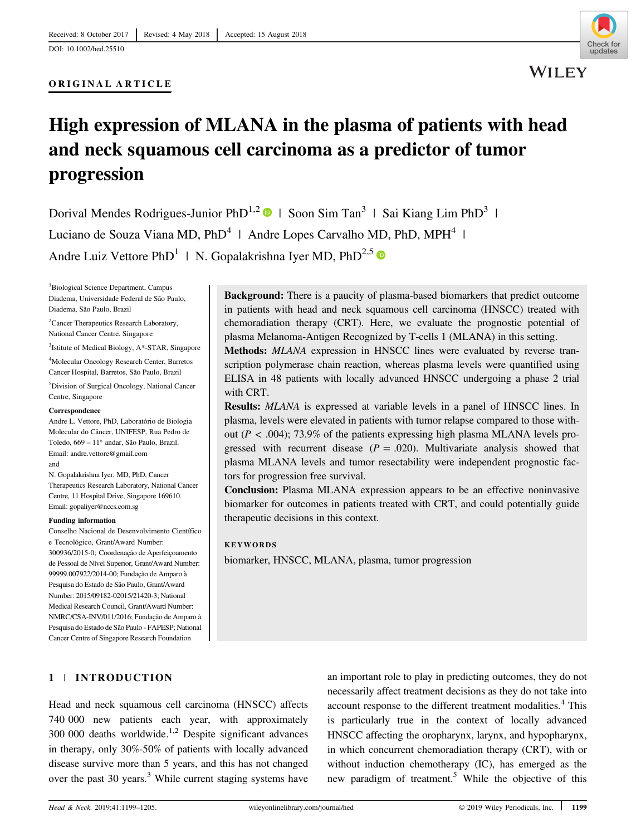

# High expression of MLANA in the plasma of patients with head and neck squamous cell carcinoma as a predictor of tumor progression

Dorival Mendes Rodrigues-Junior PhD<sup>1,2</sup> | Soon Sim Tan<sup>3</sup> | Sai Kiang Lim PhD<sup>3</sup> | Luciano de Souza Viana MD, PhD<sup>4</sup> | Andre Lopes Carvalho MD, PhD, MPH<sup>4</sup> | Andre Luiz Vettore PhD<sup>1</sup> | N. Gopalakrishna Iyer MD, PhD<sup>2,5</sup>

1 Biological Science Department, Campus Diadema, Universidade Federal de São Paulo, Diadema, São Paulo, Brazil

<sup>2</sup> Cancer Therapeutics Research Laboratory, National Cancer Centre, Singapore

3 Istitute of Medical Biology, A\*-STAR, Singapore

4 Molecular Oncology Research Center, Barretos Cancer Hospital, Barretos, São Paulo, Brazil

5 Division of Surgical Oncology, National Cancer Centre, Singapore

#### **Correspondence**

Andre L. Vettore, PhD, Laboratório de Biologia Molecular do Câncer, UNIFESP, Rua Pedro de Toledo, 669 – 11° andar, São Paulo, Brazil. Email: [andre.vettore@gmail.com](mailto:andre.vettore@gmail.com) and

N. Gopalakrishna Iyer, MD, PhD, Cancer Therapeutics Research Laboratory, National Cancer Centre, 11 Hospital Drive, Singapore 169610. Email: [gopaliyer@nccs.com.sg](mailto:gopaliyer@nccs.com.sg)

#### Funding information

Conselho Nacional de Desenvolvimento Científico e Tecnológico, Grant/Award Number: 300936/2015-0; Coordenação de Aperfeiçoamento de Pessoal de Nível Superior, Grant/Award Number: 99999.007922/2014-00; Fundação de Amparo à Pesquisa do Estado de São Paulo, Grant/Award Number: 2015/09182-02015/21420-3; National Medical Research Council, Grant/Award Number: NMRC/CSA-INV/011/2016; Fundação de Amparo à Pesquisa do Estado de São Paulo - FAPESP; National Cancer Centre of Singapore Research Foundation

Background: There is a paucity of plasma-based biomarkers that predict outcome in patients with head and neck squamous cell carcinoma (HNSCC) treated with chemoradiation therapy (CRT). Here, we evaluate the prognostic potential of plasma Melanoma-Antigen Recognized by T-cells 1 (MLANA) in this setting.

Methods: MLANA expression in HNSCC lines were evaluated by reverse transcription polymerase chain reaction, whereas plasma levels were quantified using ELISA in 48 patients with locally advanced HNSCC undergoing a phase 2 trial with CRT.

Results: MLANA is expressed at variable levels in a panel of HNSCC lines. In plasma, levels were elevated in patients with tumor relapse compared to those without ( $P < .004$ ); 73.9% of the patients expressing high plasma MLANA levels progressed with recurrent disease  $(P = .020)$ . Multivariate analysis showed that plasma MLANA levels and tumor resectability were independent prognostic factors for progression free survival.

Conclusion: Plasma MLANA expression appears to be an effective noninvasive biomarker for outcomes in patients treated with CRT, and could potentially guide therapeutic decisions in this context.

#### **KEYWORDS**

biomarker, HNSCC, MLANA, plasma, tumor progression

# 1 | INTRODUCTION

Head and neck squamous cell carcinoma (HNSCC) affects 740 000 new patients each year, with approximately  $300\,000$  deaths worldwide.<sup>1,2</sup> Despite significant advances in therapy, only 30%-50% of patients with locally advanced disease survive more than 5 years, and this has not changed over the past  $30$  years.<sup>3</sup> While current staging systems have an important role to play in predicting outcomes, they do not necessarily affect treatment decisions as they do not take into account response to the different treatment modalities.<sup>4</sup> This is particularly true in the context of locally advanced HNSCC affecting the oropharynx, larynx, and hypopharynx, in which concurrent chemoradiation therapy (CRT), with or without induction chemotherapy (IC), has emerged as the new paradigm of treatment.<sup>5</sup> While the objective of this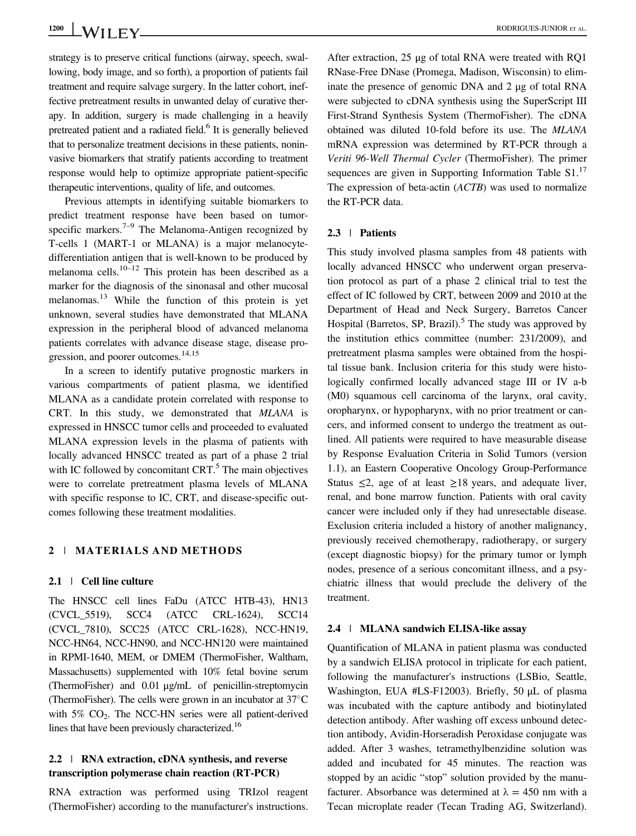strategy is to preserve critical functions (airway, speech, swallowing, body image, and so forth), a proportion of patients fail treatment and require salvage surgery. In the latter cohort, ineffective pretreatment results in unwanted delay of curative therapy. In addition, surgery is made challenging in a heavily pretreated patient and a radiated field.<sup>6</sup> It is generally believed that to personalize treatment decisions in these patients, noninvasive biomarkers that stratify patients according to treatment response would help to optimize appropriate patient-specific therapeutic interventions, quality of life, and outcomes.

Previous attempts in identifying suitable biomarkers to predict treatment response have been based on tumorspecific markers.<sup>7–9</sup> The Melanoma-Antigen recognized by T-cells 1 (MART-1 or MLANA) is a major melanocytedifferentiation antigen that is well-known to be produced by melanoma cells.<sup>10–12</sup> This protein has been described as a marker for the diagnosis of the sinonasal and other mucosal melanomas.<sup>13</sup> While the function of this protein is yet unknown, several studies have demonstrated that MLANA expression in the peripheral blood of advanced melanoma patients correlates with advance disease stage, disease progression, and poorer outcomes.<sup>14,15</sup>

In a screen to identify putative prognostic markers in various compartments of patient plasma, we identified MLANA as a candidate protein correlated with response to CRT. In this study, we demonstrated that MLANA is expressed in HNSCC tumor cells and proceeded to evaluated MLANA expression levels in the plasma of patients with locally advanced HNSCC treated as part of a phase 2 trial with IC followed by concomitant  $CRT$ <sup>5</sup>. The main objectives were to correlate pretreatment plasma levels of MLANA with specific response to IC, CRT, and disease-specific outcomes following these treatment modalities.

## 2 | MATERIALS AND METHODS

#### 2.1 | Cell line culture

The HNSCC cell lines FaDu (ATCC HTB-43), HN13 (CVCL\_5519), SCC4 (ATCC CRL-1624), SCC14 (CVCL\_7810), SCC25 (ATCC CRL-1628), NCC-HN19, NCC-HN64, NCC-HN90, and NCC-HN120 were maintained in RPMI-1640, MEM, or DMEM (ThermoFisher, Waltham, Massachusetts) supplemented with 10% fetal bovine serum (ThermoFisher) and 0.01 μg/mL of penicillin-streptomycin (ThermoFisher). The cells were grown in an incubator at  $37^{\circ}$ C with  $5\%$  CO<sub>2</sub>. The NCC-HN series were all patient-derived lines that have been previously characterized.<sup>16</sup>

# 2.2 | RNA extraction, cDNA synthesis, and reverse transcription polymerase chain reaction (RT-PCR)

RNA extraction was performed using TRIzol reagent (ThermoFisher) according to the manufacturer's instructions.

After extraction, 25 μg of total RNA were treated with RQ1 RNase-Free DNase (Promega, Madison, Wisconsin) to eliminate the presence of genomic DNA and 2 μg of total RNA were subjected to cDNA synthesis using the SuperScript III First-Strand Synthesis System (ThermoFisher). The cDNA obtained was diluted 10-fold before its use. The MLANA mRNA expression was determined by RT-PCR through a Veriti 96-Well Thermal Cycler (ThermoFisher). The primer sequences are given in Supporting Information Table  $S1$ <sup>17</sup> The expression of beta-actin (ACTB) was used to normalize the RT-PCR data.

#### 2.3 | Patients

This study involved plasma samples from 48 patients with locally advanced HNSCC who underwent organ preservation protocol as part of a phase 2 clinical trial to test the effect of IC followed by CRT, between 2009 and 2010 at the Department of Head and Neck Surgery, Barretos Cancer Hospital (Barretos, SP, Brazil).<sup>5</sup> The study was approved by the institution ethics committee (number: 231/2009), and pretreatment plasma samples were obtained from the hospital tissue bank. Inclusion criteria for this study were histologically confirmed locally advanced stage III or IV a-b (M0) squamous cell carcinoma of the larynx, oral cavity, oropharynx, or hypopharynx, with no prior treatment or cancers, and informed consent to undergo the treatment as outlined. All patients were required to have measurable disease by Response Evaluation Criteria in Solid Tumors (version 1.1), an Eastern Cooperative Oncology Group-Performance Status  $\leq$ 2, age of at least  $\geq$ 18 years, and adequate liver, renal, and bone marrow function. Patients with oral cavity cancer were included only if they had unresectable disease. Exclusion criteria included a history of another malignancy, previously received chemotherapy, radiotherapy, or surgery (except diagnostic biopsy) for the primary tumor or lymph nodes, presence of a serious concomitant illness, and a psychiatric illness that would preclude the delivery of the treatment.

#### 2.4 | MLANA sandwich ELISA-like assay

Quantification of MLANA in patient plasma was conducted by a sandwich ELISA protocol in triplicate for each patient, following the manufacturer's instructions (LSBio, Seattle, Washington, EUA #LS-F12003). Briefly, 50 μL of plasma was incubated with the capture antibody and biotinylated detection antibody. After washing off excess unbound detection antibody, Avidin-Horseradish Peroxidase conjugate was added. After 3 washes, tetramethylbenzidine solution was added and incubated for 45 minutes. The reaction was stopped by an acidic "stop" solution provided by the manufacturer. Absorbance was determined at  $\lambda = 450$  nm with a Tecan microplate reader (Tecan Trading AG, Switzerland).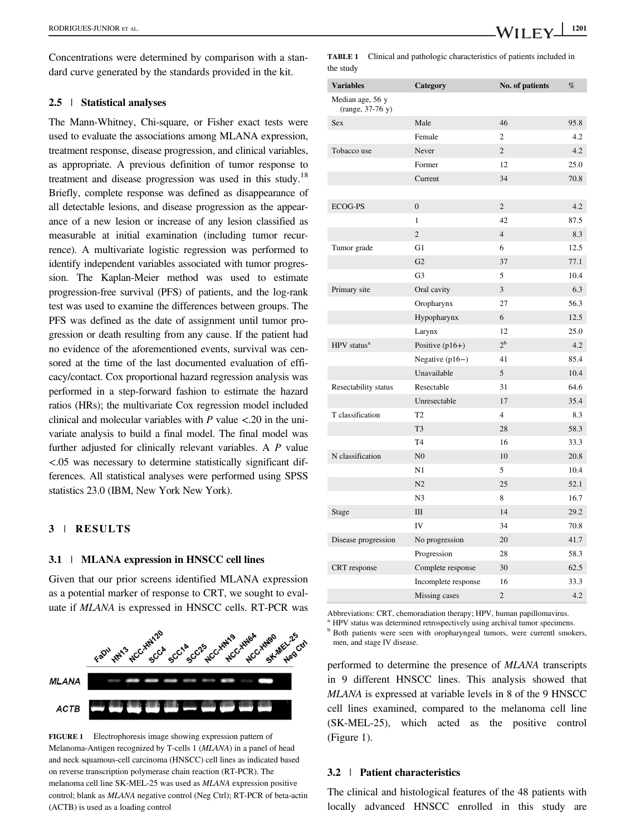Concentrations were determined by comparison with a standard curve generated by the standards provided in the kit.

## 2.5 | Statistical analyses

The Mann-Whitney, Chi-square, or Fisher exact tests were used to evaluate the associations among MLANA expression, treatment response, disease progression, and clinical variables, as appropriate. A previous definition of tumor response to treatment and disease progression was used in this study.<sup>18</sup> Briefly, complete response was defined as disappearance of all detectable lesions, and disease progression as the appearance of a new lesion or increase of any lesion classified as measurable at initial examination (including tumor recurrence). A multivariate logistic regression was performed to identify independent variables associated with tumor progression. The Kaplan-Meier method was used to estimate progression-free survival (PFS) of patients, and the log-rank test was used to examine the differences between groups. The PFS was defined as the date of assignment until tumor progression or death resulting from any cause. If the patient had no evidence of the aforementioned events, survival was censored at the time of the last documented evaluation of efficacy/contact. Cox proportional hazard regression analysis was performed in a step-forward fashion to estimate the hazard ratios (HRs); the multivariate Cox regression model included clinical and molecular variables with  $P$  value  $\lt$ .20 in the univariate analysis to build a final model. The final model was further adjusted for clinically relevant variables. A P value <.05 was necessary to determine statistically significant differences. All statistical analyses were performed using SPSS statistics 23.0 (IBM, New York New York).

## 3 | RESULTS

# 3.1 | MLANA expression in HNSCC cell lines

Given that our prior screens identified MLANA expression as a potential marker of response to CRT, we sought to evaluate if MLANA is expressed in HNSCC cells. RT-PCR was



FIGURE 1 Electrophoresis image showing expression pattern of Melanoma-Antigen recognized by T-cells 1 (MLANA) in a panel of head and neck squamous-cell carcinoma (HNSCC) cell lines as indicated based on reverse transcription polymerase chain reaction (RT-PCR). The melanoma cell line SK-MEL-25 was used as MLANA expression positive control; blank as MLANA negative control (Neg Ctrl); RT-PCR of beta-actin (ACTB) is used as a loading control

TABLE 1 Clinical and pathologic characteristics of patients included in the study

| <b>Variables</b>                     | Category            | No. of patients | %    |
|--------------------------------------|---------------------|-----------------|------|
| Median age, 56 y<br>(range, 37-76 y) |                     |                 |      |
| <b>Sex</b>                           | Male                | 46              | 95.8 |
|                                      | Female              | $\overline{c}$  | 4.2  |
| Tobacco use                          | Never               | $\overline{2}$  | 4.2  |
|                                      | Former              | 12              | 25.0 |
|                                      | Current             | 34              | 70.8 |
|                                      |                     |                 |      |
| <b>ECOG-PS</b>                       | $\mathbf{0}$        | $\overline{2}$  | 4.2  |
|                                      | 1                   | 42              | 87.5 |
|                                      | $\overline{2}$      | $\overline{4}$  | 8.3  |
| Tumor grade                          | G1                  | 6               | 12.5 |
|                                      | G <sub>2</sub>      | 37              | 77.1 |
|                                      | G <sub>3</sub>      | 5               | 10.4 |
| Primary site                         | Oral cavity         | 3               | 6.3  |
|                                      | Oropharynx          | 27              | 56.3 |
|                                      | Hypopharynx         | 6               | 12.5 |
|                                      | Larynx              | 12              | 25.0 |
| HPV status <sup>a</sup>              | Positive $(p16+)$   | $2^{\rm b}$     | 4.2  |
|                                      | Negative $(p16-)$   | 41              | 85.4 |
|                                      | Unavailable         | 5               | 10.4 |
| Resectability status                 | Resectable          | 31              | 64.6 |
|                                      | Unresectable        | 17              | 35.4 |
| T classification                     | T <sub>2</sub>      | 4               | 8.3  |
|                                      | T <sub>3</sub>      | 28              | 58.3 |
|                                      | T <sub>4</sub>      | 16              | 33.3 |
| N classification                     | N <sub>0</sub>      | 10              | 20.8 |
|                                      | N1                  | 5               | 10.4 |
|                                      | N2                  | 25              | 52.1 |
|                                      | N <sub>3</sub>      | 8               | 16.7 |
| Stage                                | $\rm III$           | 14              | 29.2 |
|                                      | IV                  | 34              | 70.8 |
| Disease progression                  | No progression      | 20              | 41.7 |
|                                      | Progression         | 28              | 58.3 |
| CRT response                         | Complete response   | 30              | 62.5 |
|                                      | Incomplete response | 16              | 33.3 |
|                                      | Missing cases       | $\overline{2}$  | 4.2  |

Abbreviations: CRT, chemoradiation therapy; HPV, human papillomavirus.

HPV status was determined retrospectively using archival tumor specimens. <sup>b</sup> Both patients were seen with oropharyngeal tumors, were currentl smokers, men, and stage IV disease.

performed to determine the presence of MLANA transcripts in 9 different HNSCC lines. This analysis showed that MLANA is expressed at variable levels in 8 of the 9 HNSCC cell lines examined, compared to the melanoma cell line (SK-MEL-25), which acted as the positive control (Figure 1).

## 3.2 | Patient characteristics

The clinical and histological features of the 48 patients with locally advanced HNSCC enrolled in this study are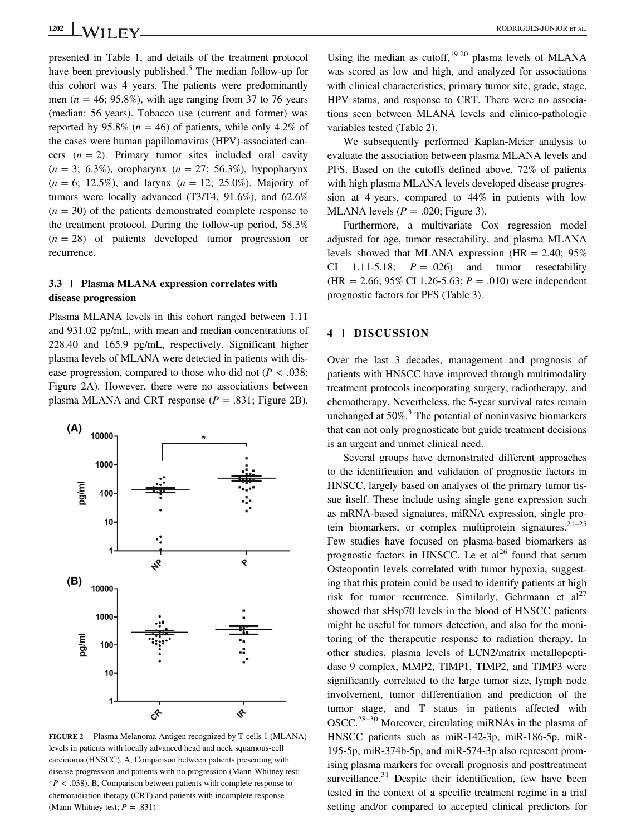presented in Table 1, and details of the treatment protocol have been previously published.<sup>5</sup> The median follow-up for this cohort was 4 years. The patients were predominantly men ( $n = 46$ ; 95.8%), with age ranging from 37 to 76 years (median: 56 years). Tobacco use (current and former) was reported by 95.8% ( $n = 46$ ) of patients, while only 4.2% of the cases were human papillomavirus (HPV)-associated cancers  $(n = 2)$ . Primary tumor sites included oral cavity  $(n = 3; 6.3\%)$ , oropharynx  $(n = 27; 56.3\%)$ , hypopharynx  $(n = 6; 12.5\%)$ , and larynx  $(n = 12; 25.0\%)$ . Majority of tumors were locally advanced (T3/T4, 91.6%), and 62.6%  $(n = 30)$  of the patients demonstrated complete response to the treatment protocol. During the follow-up period, 58.3%  $(n = 28)$  of patients developed tumor progression or recurrence.

# 3.3 | Plasma MLANA expression correlates with disease progression

Plasma MLANA levels in this cohort ranged between 1.11 and 931.02 pg/mL, with mean and median concentrations of 228.40 and 165.9 pg/mL, respectively. Significant higher plasma levels of MLANA were detected in patients with disease progression, compared to those who did not ( $P < .038$ ; Figure 2A). However, there were no associations between plasma MLANA and CRT response ( $P = .831$ ; Figure 2B).



FIGURE 2 Plasma Melanoma-Antigen recognized by T-cells 1 (MLANA) levels in patients with locally advanced head and neck squamous-cell carcinoma (HNSCC). A, Comparison between patients presenting with disease progression and patients with no progression (Mann-Whitney test;  $*P < .038$ ). B, Comparison between patients with complete response to chemoradiation therapy (CRT) and patients with incomplete response (Mann-Whitney test;  $P = .831$ )

Using the median as cutoff,<sup>19,20</sup> plasma levels of MLANA was scored as low and high, and analyzed for associations with clinical characteristics, primary tumor site, grade, stage, HPV status, and response to CRT. There were no associations seen between MLANA levels and clinico-pathologic variables tested (Table 2).

We subsequently performed Kaplan-Meier analysis to evaluate the association between plasma MLANA levels and PFS. Based on the cutoffs defined above, 72% of patients with high plasma MLANA levels developed disease progression at 4 years, compared to 44% in patients with low MLANA levels ( $P = .020$ ; Figure 3).

Furthermore, a multivariate Cox regression model adjusted for age, tumor resectability, and plasma MLANA levels showed that MLANA expression (HR  $= 2.40$ ; 95% CI 1.11-5.18;  $P = .026$  and tumor resectability  $(HR = 2.66; 95\% \text{ CI } 1.26-5.63; P = .010)$  were independent prognostic factors for PFS (Table 3).

## 4 | DISCUSSION

Over the last 3 decades, management and prognosis of patients with HNSCC have improved through multimodality treatment protocols incorporating surgery, radiotherapy, and chemotherapy. Nevertheless, the 5-year survival rates remain unchanged at  $50\%$ .<sup>3</sup> The potential of noninvasive biomarkers that can not only prognosticate but guide treatment decisions is an urgent and unmet clinical need.

Several groups have demonstrated different approaches to the identification and validation of prognostic factors in HNSCC, largely based on analyses of the primary tumor tissue itself. These include using single gene expression such as mRNA-based signatures, miRNA expression, single protein biomarkers, or complex multiprotein signatures.<sup>21–25</sup> Few studies have focused on plasma-based biomarkers as prognostic factors in HNSCC. Le et  $al^{26}$  found that serum Osteopontin levels correlated with tumor hypoxia, suggesting that this protein could be used to identify patients at high risk for tumor recurrence. Similarly, Gehrmann et  $al^{27}$ showed that sHsp70 levels in the blood of HNSCC patients might be useful for tumors detection, and also for the monitoring of the therapeutic response to radiation therapy. In other studies, plasma levels of LCN2/matrix metallopeptidase 9 complex, MMP2, TIMP1, TIMP2, and TIMP3 were significantly correlated to the large tumor size, lymph node involvement, tumor differentiation and prediction of the tumor stage, and T status in patients affected with OSCC.28–<sup>30</sup> Moreover, circulating miRNAs in the plasma of HNSCC patients such as miR-142-3p, miR-186-5p, miR-195-5p, miR-374b-5p, and miR-574-3p also represent promising plasma markers for overall prognosis and posttreatment surveillance. $31$  Despite their identification, few have been tested in the context of a specific treatment regime in a trial setting and/or compared to accepted clinical predictors for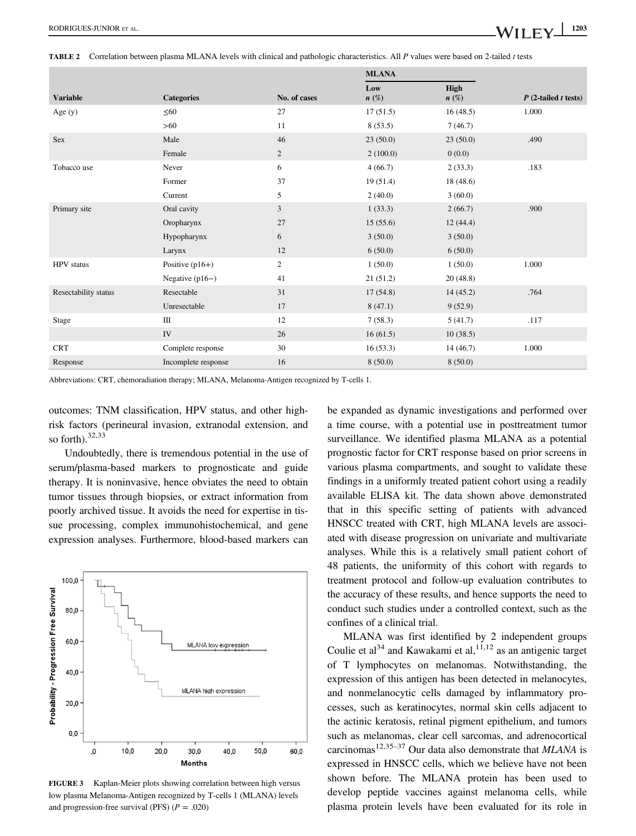|                      |                     |                | <b>MLANA</b>   |                 |                        |
|----------------------|---------------------|----------------|----------------|-----------------|------------------------|
| <b>Variable</b>      | <b>Categories</b>   | No. of cases   | Low<br>$n(\%)$ | High<br>$n(\%)$ | $P$ (2-tailed t tests) |
| Age $(y)$            | $\leq 60$           | 27             | 17(51.5)       | 16(48.5)        | 1.000                  |
|                      | >60                 | 11             | 8(53.5)        | 7(46.7)         |                        |
| Sex                  | Male                | 46             | 23(50.0)       | 23(50.0)        | .490                   |
|                      | Female              | $\overline{c}$ | 2(100.0)       | 0(0.0)          |                        |
| Tobacco use          | Never               | 6              | 4(66.7)        | 2(33.3)         | .183                   |
|                      | Former              | 37             | 19(51.4)       | 18(48.6)        |                        |
|                      | Current             | 5              | 2(40.0)        | 3(60.0)         |                        |
| Primary site         | Oral cavity         | 3              | 1(33.3)        | 2(66.7)         | .900                   |
|                      | Oropharynx          | 27             | 15(55.6)       | 12(44.4)        |                        |
|                      | Hypopharynx         | 6              | 3(50.0)        | 3(50.0)         |                        |
|                      | Larynx              | 12             | 6(50.0)        | 6(50.0)         |                        |
| <b>HPV</b> status    | Positive $(p16+)$   | 2              | 1(50.0)        | 1(50.0)         | 1.000                  |
|                      | Negative $(p16-)$   | 41             | 21(51.2)       | 20(48.8)        |                        |
| Resectability status | Resectable          | 31             | 17(54.8)       | 14(45.2)        | .764                   |
|                      | Unresectable        | 17             | 8(47.1)        | 9(52.9)         |                        |
| Stage                | Ш                   | 12             | 7(58.3)        | 5(41.7)         | .117                   |
|                      | IV                  | 26             | 16(61.5)       | 10(38.5)        |                        |
| <b>CRT</b>           | Complete response   | 30             | 16(53.3)       | 14(46.7)        | 1.000                  |
| Response             | Incomplete response | 16             | 8(50.0)        | 8(50.0)         |                        |

Abbreviations: CRT, chemoradiation therapy; MLANA, Melanoma-Antigen recognized by T-cells 1.

outcomes: TNM classification, HPV status, and other highrisk factors (perineural invasion, extranodal extension, and so forth).<sup>32,33</sup>

Undoubtedly, there is tremendous potential in the use of serum/plasma-based markers to prognosticate and guide therapy. It is noninvasive, hence obviates the need to obtain tumor tissues through biopsies, or extract information from poorly archived tissue. It avoids the need for expertise in tissue processing, complex immunohistochemical, and gene expression analyses. Furthermore, blood-based markers can



FIGURE 3 Kaplan-Meier plots showing correlation between high versus low plasma Melanoma-Antigen recognized by T-cells 1 (MLANA) levels and progression-free survival (PFS)  $(P = .020)$ 

be expanded as dynamic investigations and performed over a time course, with a potential use in posttreatment tumor surveillance. We identified plasma MLANA as a potential prognostic factor for CRT response based on prior screens in various plasma compartments, and sought to validate these findings in a uniformly treated patient cohort using a readily available ELISA kit. The data shown above demonstrated that in this specific setting of patients with advanced HNSCC treated with CRT, high MLANA levels are associated with disease progression on univariate and multivariate analyses. While this is a relatively small patient cohort of 48 patients, the uniformity of this cohort with regards to treatment protocol and follow-up evaluation contributes to the accuracy of these results, and hence supports the need to conduct such studies under a controlled context, such as the confines of a clinical trial.

MLANA was first identified by 2 independent groups Coulie et al<sup>34</sup> and Kawakami et al,  $11,12$  as an antigenic target of T lymphocytes on melanomas. Notwithstanding, the expression of this antigen has been detected in melanocytes, and nonmelanocytic cells damaged by inflammatory processes, such as keratinocytes, normal skin cells adjacent to the actinic keratosis, retinal pigment epithelium, and tumors such as melanomas, clear cell sarcomas, and adrenocortical carcinomas<sup>12,35–37</sup> Our data also demonstrate that  $MLANA$  is expressed in HNSCC cells, which we believe have not been shown before. The MLANA protein has been used to develop peptide vaccines against melanoma cells, while plasma protein levels have been evaluated for its role in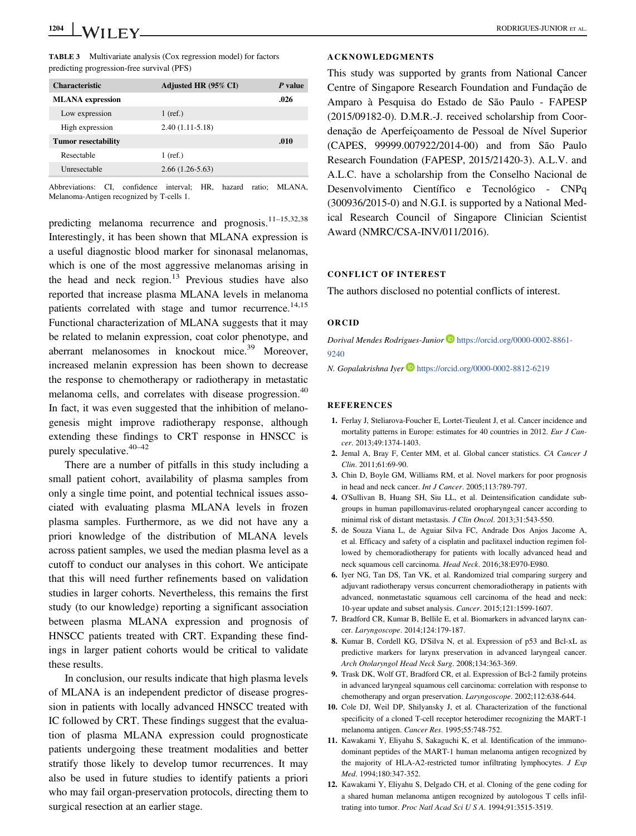| <b>Characteristic</b>      | Adjusted HR (95% CI) | P value |
|----------------------------|----------------------|---------|
| <b>MLANA</b> expression    |                      | .026    |
| Low expression             | $1$ (ref.)           |         |
| High expression            | $2.40(1.11-5.18)$    |         |
| <b>Tumor resectability</b> |                      | .010    |
| Resectable                 | $1$ (ref.)           |         |
| Unresectable               | $2.66(1.26-5.63)$    |         |
|                            |                      |         |

Abbreviations: CI, confidence interval; HR, hazard ratio; MLANA, Melanoma-Antigen recognized by T-cells 1.

predicting melanoma recurrence and prognosis.<sup>11-15,32,38</sup> Interestingly, it has been shown that MLANA expression is a useful diagnostic blood marker for sinonasal melanomas, which is one of the most aggressive melanomas arising in the head and neck region. $13$  Previous studies have also reported that increase plasma MLANA levels in melanoma patients correlated with stage and tumor recurrence.<sup>14,15</sup> Functional characterization of MLANA suggests that it may be related to melanin expression, coat color phenotype, and aberrant melanosomes in knockout mice.<sup>39</sup> Moreover, increased melanin expression has been shown to decrease the response to chemotherapy or radiotherapy in metastatic melanoma cells, and correlates with disease progression.<sup>40</sup> In fact, it was even suggested that the inhibition of melanogenesis might improve radiotherapy response, although extending these findings to CRT response in HNSCC is purely speculative.<sup>40–42</sup>

There are a number of pitfalls in this study including a small patient cohort, availability of plasma samples from only a single time point, and potential technical issues associated with evaluating plasma MLANA levels in frozen plasma samples. Furthermore, as we did not have any a priori knowledge of the distribution of MLANA levels across patient samples, we used the median plasma level as a cutoff to conduct our analyses in this cohort. We anticipate that this will need further refinements based on validation studies in larger cohorts. Nevertheless, this remains the first study (to our knowledge) reporting a significant association between plasma MLANA expression and prognosis of HNSCC patients treated with CRT. Expanding these findings in larger patient cohorts would be critical to validate these results.

In conclusion, our results indicate that high plasma levels of MLANA is an independent predictor of disease progression in patients with locally advanced HNSCC treated with IC followed by CRT. These findings suggest that the evaluation of plasma MLANA expression could prognosticate patients undergoing these treatment modalities and better stratify those likely to develop tumor recurrences. It may also be used in future studies to identify patients a priori who may fail organ-preservation protocols, directing them to surgical resection at an earlier stage.

#### ACKNOWLEDGMENTS

This study was supported by grants from National Cancer Centre of Singapore Research Foundation and Fundação de Amparo à Pesquisa do Estado de São Paulo - FAPESP (2015/09182-0). D.M.R.-J. received scholarship from Coordenação de Aperfeiçoamento de Pessoal de Nível Superior (CAPES, 99999.007922/2014-00) and from São Paulo Research Foundation (FAPESP, 2015/21420-3). A.L.V. and A.L.C. have a scholarship from the Conselho Nacional de Desenvolvimento Científico e Tecnológico - CNPq (300936/2015-0) and N.G.I. is supported by a National Medical Research Council of Singapore Clinician Scientist Award (NMRC/CSA-INV/011/2016).

## CONFLICT OF INTEREST

The authors disclosed no potential conflicts of interest.

### ORCID

Dorival Mendes Rodrigues-Junior [https://orcid.org/0000-0002-8861-](https://orcid.org/0000-0002-8861-9240) [9240](https://orcid.org/0000-0002-8861-9240)

N. Gopalakrishna Iyer <https://orcid.org/0000-0002-8812-6219>

### **REFERENCES**

- 1. Ferlay J, Steliarova-Foucher E, Lortet-Tieulent J, et al. Cancer incidence and mortality patterns in Europe: estimates for 40 countries in 2012. Eur J Cancer. 2013;49:1374-1403.
- 2. Jemal A, Bray F, Center MM, et al. Global cancer statistics. CA Cancer J Clin. 2011;61:69-90.
- 3. Chin D, Boyle GM, Williams RM, et al. Novel markers for poor prognosis in head and neck cancer. Int J Cancer. 2005;113:789-797.
- 4. O'Sullivan B, Huang SH, Siu LL, et al. Deintensification candidate subgroups in human papillomavirus-related oropharyngeal cancer according to minimal risk of distant metastasis. J Clin Oncol. 2013;31:543-550.
- 5. de Souza Viana L, de Aguiar Silva FC, Andrade Dos Anjos Jacome A, et al. Efficacy and safety of a cisplatin and paclitaxel induction regimen followed by chemoradiotherapy for patients with locally advanced head and neck squamous cell carcinoma. Head Neck. 2016;38:E970-E980.
- 6. Iyer NG, Tan DS, Tan VK, et al. Randomized trial comparing surgery and adjuvant radiotherapy versus concurrent chemoradiotherapy in patients with advanced, nonmetastatic squamous cell carcinoma of the head and neck: 10-year update and subset analysis. Cancer. 2015;121:1599-1607.
- 7. Bradford CR, Kumar B, Bellile E, et al. Biomarkers in advanced larynx cancer. Laryngoscope. 2014;124:179-187.
- 8. Kumar B, Cordell KG, D'Silva N, et al. Expression of p53 and Bcl-xL as predictive markers for larynx preservation in advanced laryngeal cancer. Arch Otolaryngol Head Neck Surg. 2008;134:363-369.
- 9. Trask DK, Wolf GT, Bradford CR, et al. Expression of Bcl-2 family proteins in advanced laryngeal squamous cell carcinoma: correlation with response to chemotherapy and organ preservation. Laryngoscope. 2002;112:638-644.
- 10. Cole DJ, Weil DP, Shilyansky J, et al. Characterization of the functional specificity of a cloned T-cell receptor heterodimer recognizing the MART-1 melanoma antigen. Cancer Res. 1995;55:748-752.
- 11. Kawakami Y, Eliyahu S, Sakaguchi K, et al. Identification of the immunodominant peptides of the MART-1 human melanoma antigen recognized by the majority of HLA-A2-restricted tumor infiltrating lymphocytes. J Exp Med. 1994;180:347-352.
- 12. Kawakami Y, Eliyahu S, Delgado CH, et al. Cloning of the gene coding for a shared human melanoma antigen recognized by autologous T cells infiltrating into tumor. Proc Natl Acad Sci U S A. 1994;91:3515-3519.